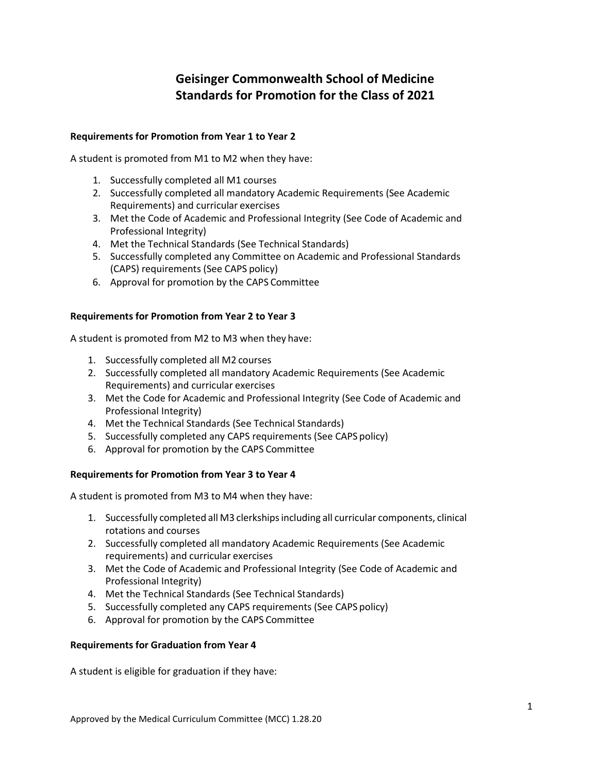# **Geisinger Commonwealth School of Medicine Standards for Promotion for the Class of 2021**

## **Requirements for Promotion from Year 1 to Year 2**

A student is promoted from M1 to M2 when they have:

- 1. Successfully completed all M1 courses
- 2. Successfully completed all mandatory Academic Requirements (See Academic Requirements) and curricular exercises
- 3. Met the Code of Academic and Professional Integrity (See Code of Academic and Professional Integrity)
- 4. Met the Technical Standards (See Technical Standards)
- 5. Successfully completed any Committee on Academic and Professional Standards (CAPS) requirements (See CAPS policy)
- 6. Approval for promotion by the CAPS Committee

## **Requirements for Promotion from Year 2 to Year 3**

A student is promoted from M2 to M3 when they have:

- 1. Successfully completed all M2 courses
- 2. Successfully completed all mandatory Academic Requirements (See Academic Requirements) and curricular exercises
- 3. Met the Code for Academic and Professional Integrity (See Code of Academic and Professional Integrity)
- 4. Met the Technical Standards (See Technical Standards)
- 5. Successfully completed any CAPS requirements (See CAPS policy)
- 6. Approval for promotion by the CAPS Committee

### **Requirements for Promotion from Year 3 to Year 4**

A student is promoted from M3 to M4 when they have:

- 1. Successfully completed all M3 clerkshipsincluding all curricular components, clinical rotations and courses
- 2. Successfully completed all mandatory Academic Requirements (See Academic requirements) and curricular exercises
- 3. Met the Code of Academic and Professional Integrity (See Code of Academic and Professional Integrity)
- 4. Met the Technical Standards (See Technical Standards)
- 5. Successfully completed any CAPS requirements (See CAPS policy)
- 6. Approval for promotion by the CAPS Committee

### **Requirements for Graduation from Year 4**

A student is eligible for graduation if they have: